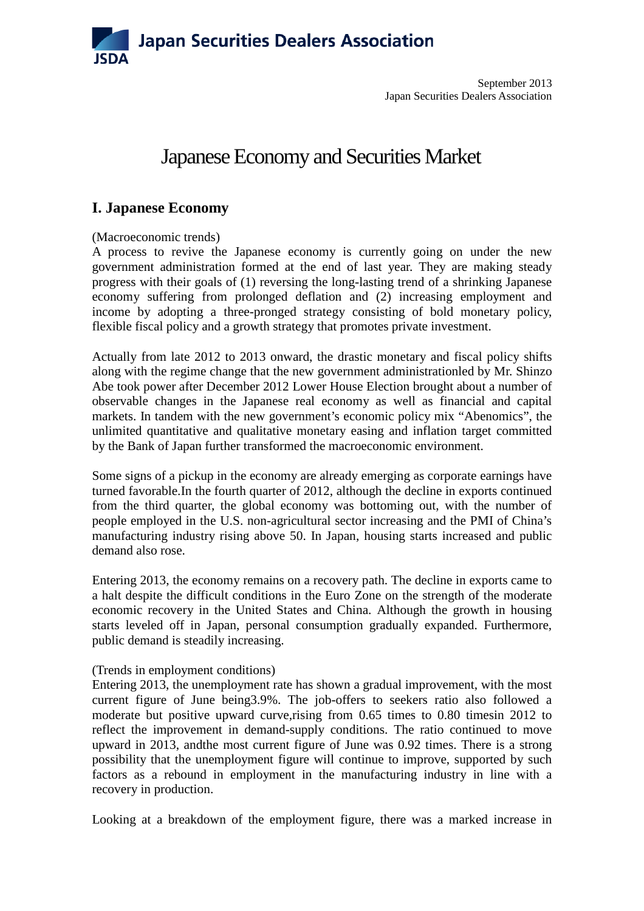

# Japanese Economy and Securities Market

### **I. Japanese Economy**

#### (Macroeconomic trends)

A process to revive the Japanese economy is currently going on under the new government administration formed at the end of last year. They are making steady progress with their goals of (1) reversing the long-lasting trend of a shrinking Japanese economy suffering from prolonged deflation and (2) increasing employment and income by adopting a three-pronged strategy consisting of bold monetary policy, flexible fiscal policy and a growth strategy that promotes private investment.

Actually from late 2012 to 2013 onward, the drastic monetary and fiscal policy shifts along with the regime change that the new government administrationled by Mr. Shinzo Abe took power after December 2012 Lower House Election brought about a number of observable changes in the Japanese real economy as well as financial and capital markets. In tandem with the new government's economic policy mix "Abenomics", the unlimited quantitative and qualitative monetary easing and inflation target committed by the Bank of Japan further transformed the macroeconomic environment.

Some signs of a pickup in the economy are already emerging as corporate earnings have turned favorable.In the fourth quarter of 2012, although the decline in exports continued from the third quarter, the global economy was bottoming out, with the number of people employed in the U.S. non-agricultural sector increasing and the PMI of China's manufacturing industry rising above 50. In Japan, housing starts increased and public demand also rose.

Entering 2013, the economy remains on a recovery path. The decline in exports came to a halt despite the difficult conditions in the Euro Zone on the strength of the moderate economic recovery in the United States and China. Although the growth in housing starts leveled off in Japan, personal consumption gradually expanded. Furthermore, public demand is steadily increasing.

#### (Trends in employment conditions)

Entering 2013, the unemployment rate has shown a gradual improvement, with the most current figure of June being3.9%. The job-offers to seekers ratio also followed a moderate but positive upward curve, rising from 0.65 times to 0.80 timesin 2012 to reflect the improvement in demand-supply conditions. The ratio continued to move upward in 2013, andthe most current figure of June was 0.92 times. There is a strong possibility that the unemployment figure will continue to improve, supported by such factors as a rebound in employment in the manufacturing industry in line with a recovery in production.

Looking at a breakdown of the employment figure, there was a marked increase in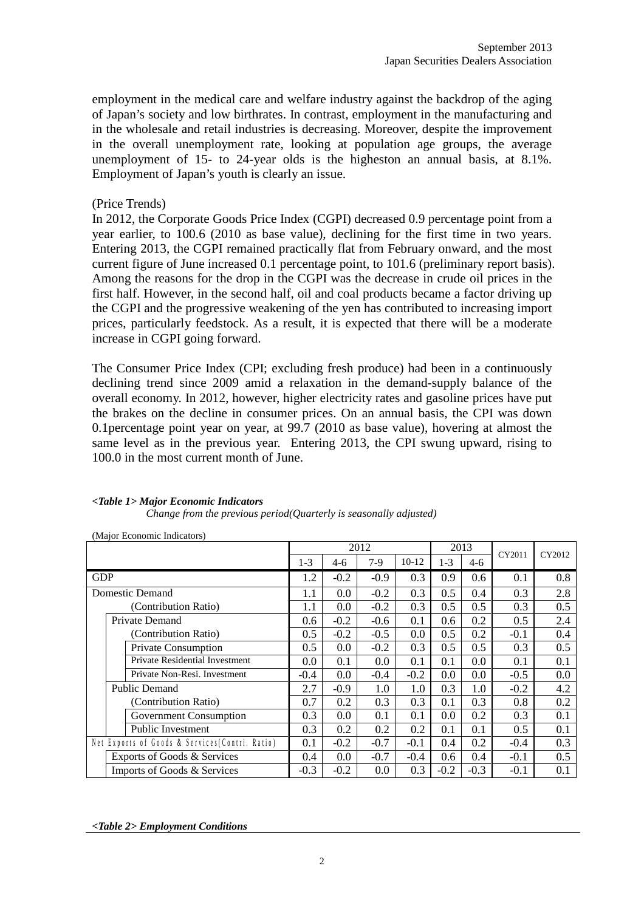employment in the medical care and welfare industry against the backdrop of the aging of Japan's society and low birthrates. In contrast, employment in the manufacturing and in the wholesale and retail industries is decreasing. Moreover, despite the improvement in the overall unemployment rate, looking at population age groups, the average unemployment of 15- to 24-year olds is the higheston an annual basis, at 8.1%. Employment of Japan's youth is clearly an issue.

#### (Price Trends)

In 2012, the Corporate Goods Price Index (CGPI) decreased 0.9 percentage point from a year earlier, to 100.6 (2010 as base value), declining for the first time in two years. Entering 2013, the CGPI remained practically flat from February onward, and the most current figure of June increased 0.1 percentage point, to 101.6 (preliminary report basis). Among the reasons for the drop in the CGPI was the decrease in crude oil prices in the first half. However, in the second half, oil and coal products became a factor driving up the CGPI and the progressive weakening of the yen has contributed to increasing import prices, particularly feedstock. As a result, it is expected that there will be a moderate increase in CGPI going forward.

The Consumer Price Index (CPI; excluding fresh produce) had been in a continuously declining trend since 2009 amid a relaxation in the demand-supply balance of the overall economy. In 2012, however, higher electricity rates and gasoline prices have put the brakes on the decline in consumer prices. On an annual basis, the CPI was down 0.1percentage point year on year, at 99.7 (2010 as base value), hovering at almost the same level as in the previous year. Entering 2013, the CPI swung upward, rising to 100.0 in the most current month of June.

| (Major Economic Indicators)                     |         |         |        |        |         |         |        |        |        |
|-------------------------------------------------|---------|---------|--------|--------|---------|---------|--------|--------|--------|
|                                                 |         |         |        | 2012   |         |         | 2013   | CY2011 | CY2012 |
|                                                 | $1 - 3$ |         | $4-6$  | $7-9$  | $10-12$ | $1 - 3$ | $4-6$  |        |        |
| <b>GDP</b>                                      |         | 1.2     | $-0.2$ | $-0.9$ | 0.3     | 0.9     | 0.6    | 0.1    | 0.8    |
| Domestic Demand                                 |         | 1.1     | 0.0    | $-0.2$ | 0.3     | 0.5     | 0.4    | 0.3    | 2.8    |
| (Contribution Ratio)                            |         | $1.1\,$ | 0.0    | $-0.2$ | 0.3     | 0.5     | 0.5    | 0.3    | 0.5    |
| Private Demand                                  |         | 0.6     | $-0.2$ | $-0.6$ | 0.1     | 0.6     | 0.2    | 0.5    | 2.4    |
| (Contribution Ratio)                            |         | 0.5     | $-0.2$ | $-0.5$ | 0.0     | 0.5     | 0.2    | $-0.1$ | 0.4    |
| <b>Private Consumption</b>                      |         | 0.5     | 0.0    | $-0.2$ | 0.3     | 0.5     | 0.5    | 0.3    | 0.5    |
| <b>Private Residential Investment</b>           |         | 0.0     | 0.1    | 0.0    | 0.1     | 0.1     | 0.0    | 0.1    | 0.1    |
| Private Non-Resi. Investment                    | $-0.4$  |         | 0.0    | $-0.4$ | $-0.2$  | 0.0     | 0.0    | $-0.5$ | 0.0    |
| <b>Public Demand</b>                            |         | 2.7     | $-0.9$ | 1.0    | 1.0     | 0.3     | 1.0    | $-0.2$ | 4.2    |
| (Contribution Ratio)                            | 0.7     |         | 0.2    | 0.3    | 0.3     | 0.1     | 0.3    | 0.8    | 0.2    |
| <b>Government Consumption</b>                   |         | 0.3     | 0.0    | 0.1    | 0.1     | 0.0     | 0.2    | 0.3    | 0.1    |
| Public Investment                               |         | 0.3     | 0.2    | 0.2    | 0.2     | 0.1     | 0.1    | 0.5    | 0.1    |
| Net Exports of Goods & Services (Contri. Ratio) |         | 0.1     | $-0.2$ | $-0.7$ | $-0.1$  | 0.4     | 0.2    | $-0.4$ | 0.3    |
| Exports of Goods & Services                     |         | 0.4     | 0.0    | $-0.7$ | $-0.4$  | 0.6     | 0.4    | $-0.1$ | 0.5    |
| Imports of Goods & Services                     | $-0.3$  |         | $-0.2$ | 0.0    | 0.3     | $-0.2$  | $-0.3$ | $-0.1$ | 0.1    |

#### *<Table 1> Major Economic Indicators*

*Change from the previous period(Quarterly is seasonally adjusted)*

*<Table 2> Employment Conditions*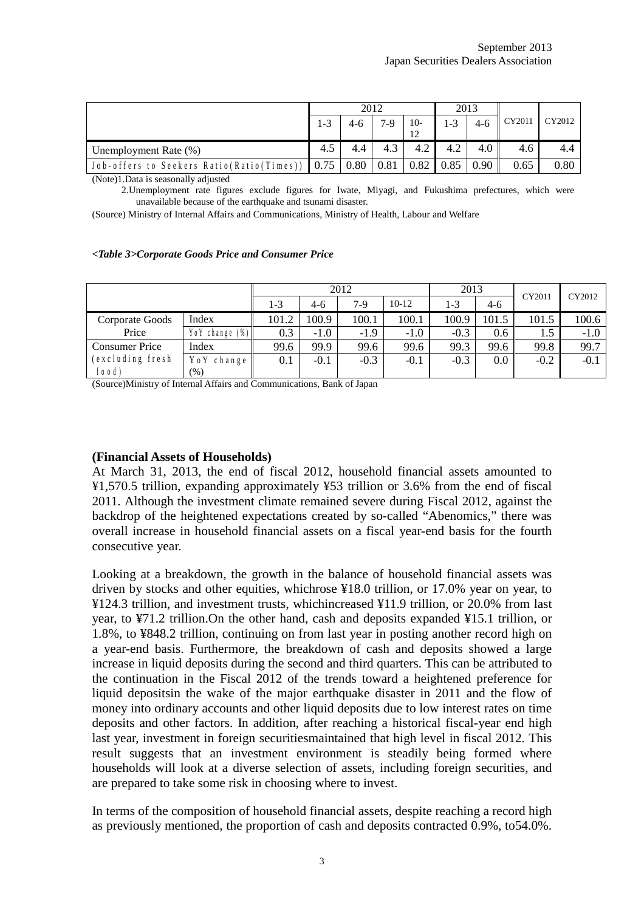|                                                         |     |     | 2012  |       | 2013                       |     |        |        |
|---------------------------------------------------------|-----|-----|-------|-------|----------------------------|-----|--------|--------|
|                                                         | 1-3 |     | $7-9$ | $10-$ | $1 - 3$                    |     | CY2011 | CY2012 |
| Unemployment Rate (%)                                   | 4.5 | 4.4 | 4.3   | 4.2   | 4.2                        | 4.0 | 4.6    | 4.4    |
| Job-offers to Seekers Ratio(Ratio(Times))   0.75   0.80 |     |     | 0.81  |       | $0.82 \mid 0.85 \mid 0.90$ |     | 0.65   | 0.80   |

(Note)1.Data is seasonally adjusted

2.Unemployment rate figures exclude figures for Iwate, Miyagi, and Fukushima prefectures, which were unavailable because of the earthquake and tsunami disaster.

(Source) Ministry of Internal Affairs and Communications, Ministry of Health, Labour and Welfare

#### *<Table 3>Corporate Goods Price and Consumer Price*

|                       |                |       | 2012   |        | 2013    |         | CY2011           | CY2012 |        |
|-----------------------|----------------|-------|--------|--------|---------|---------|------------------|--------|--------|
|                       |                | 1-3   | $4-6$  | $7-9$  | $10-12$ | $1 - 3$ | $4-6$            |        |        |
| Corporate Goods       | Index          | 101.2 | 100.9  | 100.1  | 100.1   | 100.9   | 101.5            | 101.5  | 100.6  |
| Price                 | YoY change (%) | 0.3   | $-1.0$ | $-1.9$ | $-1.0$  | $-0.3$  | 0.6 <sub>1</sub> | 1.5    | $-1.0$ |
| <b>Consumer Price</b> | Index          | 99.6  | 99.9   | 99.6   | 99.6    | 99.3    | 99.6             | 99.8   | 99.7   |
| (excluding fresh      | Yo Y change    | 0.1   | $-0.1$ | $-0.3$ | $-0.1$  | $-0.3$  | $0.0\,$          | $-0.2$ | $-0.1$ |
| food)                 | (% )           |       |        |        |         |         |                  |        |        |

(Source)Ministry of Internal Affairs and Communications, Bank of Japan

#### **(Financial Assets of Households)**

At March 31, 2013, the end of fiscal 2012, household financial assets amounted to ¥1,570.5 trillion, expanding approximately ¥53 trillion or 3.6% from the end of fiscal 2011. Although the investment climate remained severe during Fiscal 2012, against the backdrop of the heightened expectations created by so-called "Abenomics," there was overall increase in household financial assets on a fiscal year-end basis for the fourth consecutive year.

Looking at a breakdown, the growth in the balance of household financial assets was driven by stocks and other equities, whichrose ¥18.0 trillion, or 17.0% year on year, to ¥124.3 trillion, and investment trusts, whichincreased ¥11.9 trillion, or 20.0% from last year, to ¥71.2 trillion.On the other hand, cash and deposits expanded ¥15.1 trillion, or 1.8%, to ¥848.2 trillion, continuing on from last year in posting another record high on a year-end basis. Furthermore, the breakdown of cash and deposits showed a large increase in liquid deposits during the second and third quarters. This can be attributed to the continuation in the Fiscal 2012 of the trends toward a heightened preference for liquid depositsin the wake of the major earthquake disaster in 2011 and the flow of money into ordinary accounts and other liquid deposits due to low interest rates on time deposits and other factors. In addition, after reaching a historical fiscal-year end high last year, investment in foreign securitiesmaintained that high level in fiscal 2012. This result suggests that an investment environment is steadily being formed where households will look at a diverse selection of assets, including foreign securities, and are prepared to take some risk in choosing where to invest.

In terms of the composition of household financial assets, despite reaching a record high as previously mentioned, the proportion of cash and deposits contracted 0.9%, to54.0%.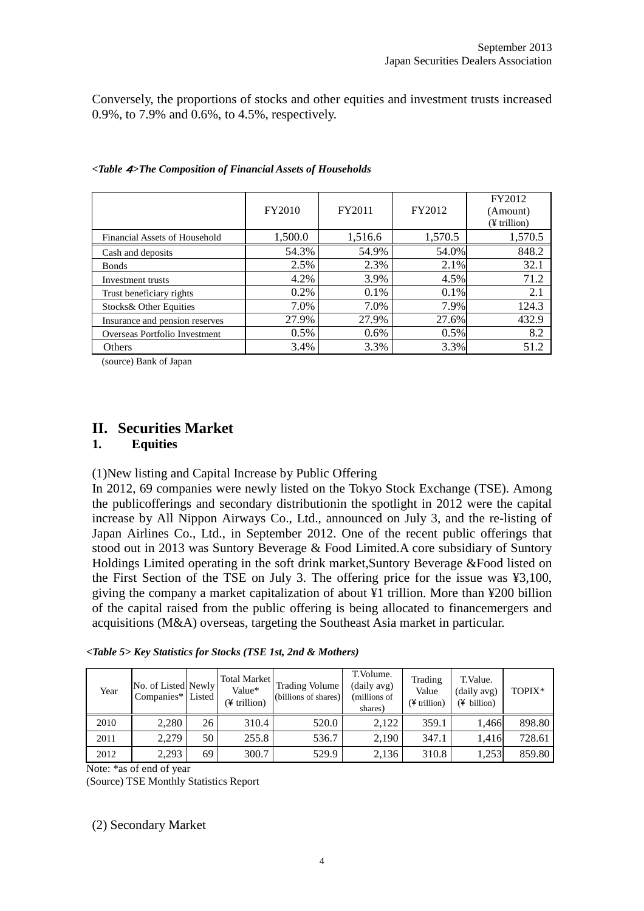Conversely, the proportions of stocks and other equities and investment trusts increased 0.9%, to 7.9% and 0.6%, to 4.5%, respectively.

|                                | FY2010  | FY2011  | FY2012  | FY2012<br>(Amount)<br>(¥ trillion) |
|--------------------------------|---------|---------|---------|------------------------------------|
| Financial Assets of Household  | 1,500.0 | 1,516.6 | 1,570.5 | 1,570.5                            |
| Cash and deposits              | 54.3%   | 54.9%   | 54.0%   | 848.2                              |
| <b>Bonds</b>                   | 2.5%    | 2.3%    | 2.1%    | 32.1                               |
| Investment trusts              | 4.2%    | 3.9%    | 4.5%    | 71.2                               |
| Trust beneficiary rights       | 0.2%    | 0.1%    | 0.1%    | 2.1                                |
| Stocks& Other Equities         | 7.0%    | 7.0%    | 7.9%    | 124.3                              |
| Insurance and pension reserves | 27.9%   | 27.9%   | 27.6%   | 432.9                              |
| Overseas Portfolio Investment  | 0.5%    | $0.6\%$ | 0.5%    | 8.2                                |
| Others                         | 3.4%    | 3.3%    | 3.3%    | 51.2                               |

(source) Bank of Japan

# **II. Securities Market**

#### **1. Equities**

#### (1)New listing and Capital Increase by Public Offering

In 2012, 69 companies were newly listed on the Tokyo Stock Exchange (TSE). Among the publicofferings and secondary distributionin the spotlight in 2012 were the capital increase by All Nippon Airways Co., Ltd., announced on July 3, and the re-listing of Japan Airlines Co., Ltd., in September 2012. One of the recent public offerings that stood out in 2013 was Suntory Beverage & Food Limited.A core subsidiary of Suntory Holdings Limited operating in the soft drink market,Suntory Beverage &Food listed on the First Section of the TSE on July 3. The offering price for the issue was ¥3,100, giving the company a market capitalization of about ¥1 trillion. More than ¥200 billion of the capital raised from the public offering is being allocated to financemergers and acquisitions (M&A) overseas, targeting the Southeast Asia market in particular.

| Year | No. of Listed Newly<br>Companies* Listed |    | <b>Total Market</b><br>Value*<br>(¥ trillion) | Trading Volume<br>(billions of shares) | T. Volume.<br>(daily avg)<br>(millions of<br>shares) | Trading<br>Value<br>$(\frac{1}{2}$ trillion) | T.Value.<br>(daily avg)<br>$(\frac{1}{2}$ billion) | TOPIX* |
|------|------------------------------------------|----|-----------------------------------------------|----------------------------------------|------------------------------------------------------|----------------------------------------------|----------------------------------------------------|--------|
| 2010 | 2.280                                    | 26 | 310.4                                         | 520.0                                  | 2,122                                                | 359.1                                        | 1.466                                              | 898.80 |
| 2011 | 2.279                                    | 50 | 255.8                                         | 536.7                                  | 2,190                                                | 347.1                                        | 1.416                                              | 728.61 |
| 2012 | 2,293                                    | 69 | 300.7                                         | 529.9                                  | 2,136                                                | 310.8                                        | 1,253                                              | 859.80 |

*<Table 5> Key Statistics for Stocks (TSE 1st, 2nd & Mothers)*

Note: \*as of end of year

(Source) TSE Monthly Statistics Report

(2) Secondary Market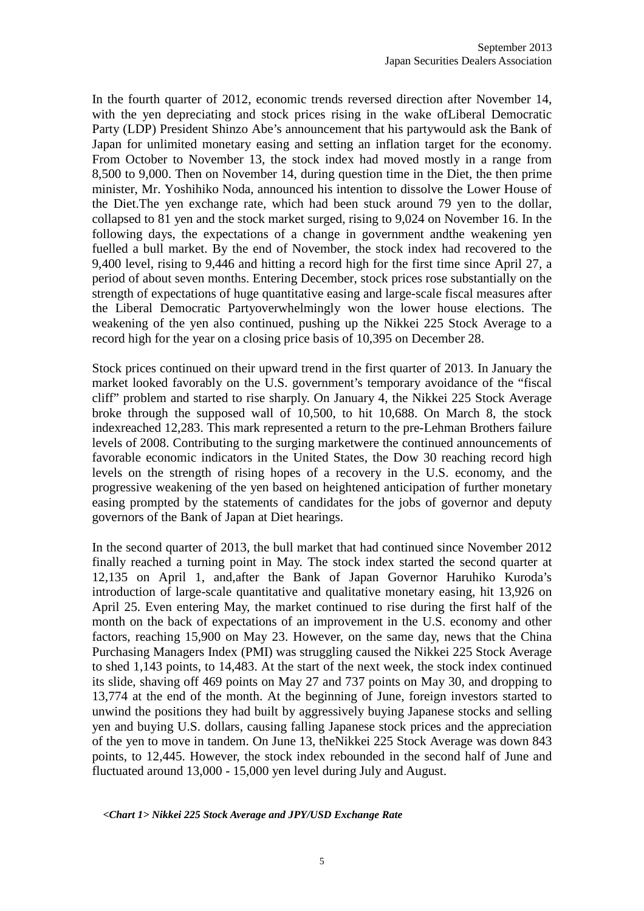In the fourth quarter of 2012, economic trends reversed direction after November 14, with the yen depreciating and stock prices rising in the wake of Liberal Democratic Party (LDP) President Shinzo Abe's announcement that his partywould ask the Bank of Japan for unlimited monetary easing and setting an inflation target for the economy. From October to November 13, the stock index had moved mostly in a range from 8,500 to 9,000. Then on November 14, during question time in the Diet, the then prime minister, Mr. Yoshihiko Noda, announced his intention to dissolve the Lower House of the Diet.The yen exchange rate, which had been stuck around 79 yen to the dollar, collapsed to 81 yen and the stock market surged, rising to 9,024 on November 16. In the following days, the expectations of a change in government andthe weakening yen fuelled a bull market. By the end of November, the stock index had recovered to the 9,400 level, rising to 9,446 and hitting a record high for the first time since April 27, a period of about seven months. Entering December, stock prices rose substantially on the strength of expectations of huge quantitative easing and large-scale fiscal measures after the Liberal Democratic Partyoverwhelmingly won the lower house elections. The weakening of the yen also continued, pushing up the Nikkei 225 Stock Average to a record high for the year on a closing price basis of 10,395 on December 28.

Stock prices continued on their upward trend in the first quarter of 2013. In January the market looked favorably on the U.S. government's temporary avoidance of the "fiscal cliff" problem and started to rise sharply. On January 4, the Nikkei 225 Stock Average broke through the supposed wall of 10,500, to hit 10,688. On March 8, the stock indexreached 12,283. This mark represented a return to the pre-Lehman Brothers failure levels of 2008. Contributing to the surging marketwere the continued announcements of favorable economic indicators in the United States, the Dow 30 reaching record high levels on the strength of rising hopes of a recovery in the U.S. economy, and the progressive weakening of the yen based on heightened anticipation of further monetary easing prompted by the statements of candidates for the jobs of governor and deputy governors of the Bank of Japan at Diet hearings.

In the second quarter of 2013, the bull market that had continued since November 2012 finally reached a turning point in May. The stock index started the second quarter at 12,135 on April 1, and,after the Bank of Japan Governor Haruhiko Kuroda's introduction of large-scale quantitative and qualitative monetary easing, hit 13,926 on April 25. Even entering May, the market continued to rise during the first half of the month on the back of expectations of an improvement in the U.S. economy and other factors, reaching 15,900 on May 23. However, on the same day, news that the China Purchasing Managers Index (PMI) was struggling caused the Nikkei 225 Stock Average to shed 1,143 points, to 14,483. At the start of the next week, the stock index continued its slide, shaving off 469 points on May 27 and 737 points on May 30, and dropping to 13,774 at the end of the month. At the beginning of June, foreign investors started to unwind the positions they had built by aggressively buying Japanese stocks and selling yen and buying U.S. dollars, causing falling Japanese stock prices and the appreciation of the yen to move in tandem. On June 13, theNikkei 225 Stock Average was down 843 points, to 12,445. However, the stock index rebounded in the second half of June and fluctuated around 13,000 - 15,000 yen level during July and August.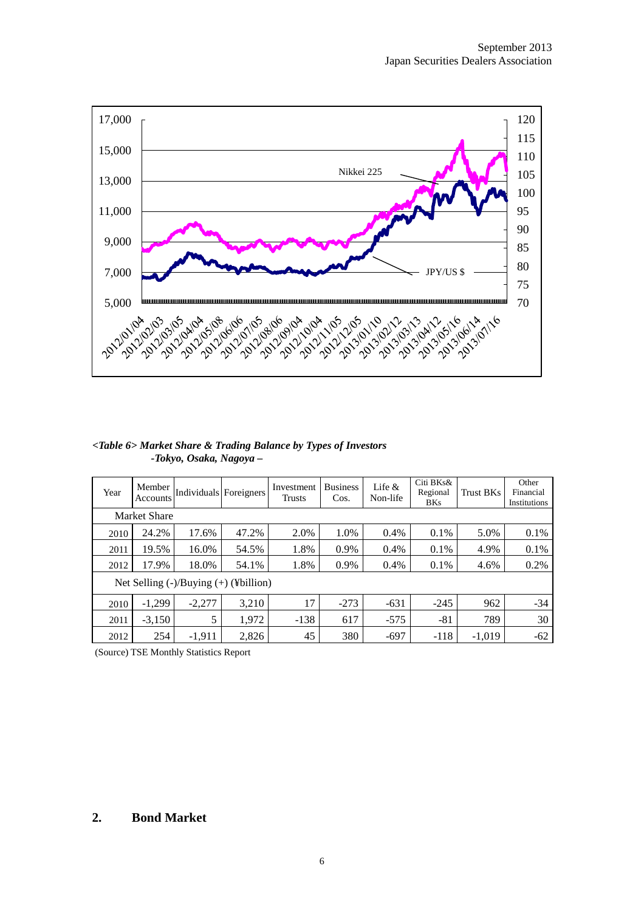

#### *<Table 6> Market Share & Trading Balance by Types of Investors -Tokyo, Osaka, Nagoya –*

| Year | Member<br>Accounts  | Individuals Foreigners |                                                 | Investment<br>Trusts | <b>Business</b><br>Cos. | Life $\&$<br>Non-life | Citi BKs&<br>Regional<br><b>BKs</b> | Trust BKs | Other<br>Financial<br>Institutions |
|------|---------------------|------------------------|-------------------------------------------------|----------------------|-------------------------|-----------------------|-------------------------------------|-----------|------------------------------------|
|      | <b>Market Share</b> |                        |                                                 |                      |                         |                       |                                     |           |                                    |
| 2010 | 24.2%               | 17.6%                  | 47.2%                                           | 2.0%                 | 1.0%                    | 0.4%                  | $0.1\%$                             | 5.0%      | 0.1%                               |
| 2011 | 19.5%               | 16.0%                  | 54.5%                                           | 1.8%                 | 0.9%                    | 0.4%                  | 0.1%                                | 4.9%      | 0.1%                               |
| 2012 | 17.9%               | 18.0%                  | 54.1%                                           | 1.8%                 | 0.9%                    | 0.4%                  | $0.1\%$                             | 4.6%      | 0.2%                               |
|      |                     |                        | Net Selling $(-)/\text{Buying } (+)$ (¥billion) |                      |                         |                       |                                     |           |                                    |
| 2010 | $-1,299$            | $-2,277$               | 3,210                                           | 17                   | $-273$                  | $-631$                | $-245$                              | 962       | $-34$                              |
| 2011 | $-3,150$            | 5                      | 1,972                                           | $-138$               | 617                     | $-575$                | $-81$                               | 789       | 30                                 |
| 2012 | 254                 | $-1,911$               | 2,826                                           | 45                   | 380                     | $-697$                | $-118$                              | $-1,019$  | $-62$                              |

(Source) TSE Monthly Statistics Report

#### **2. Bond Market**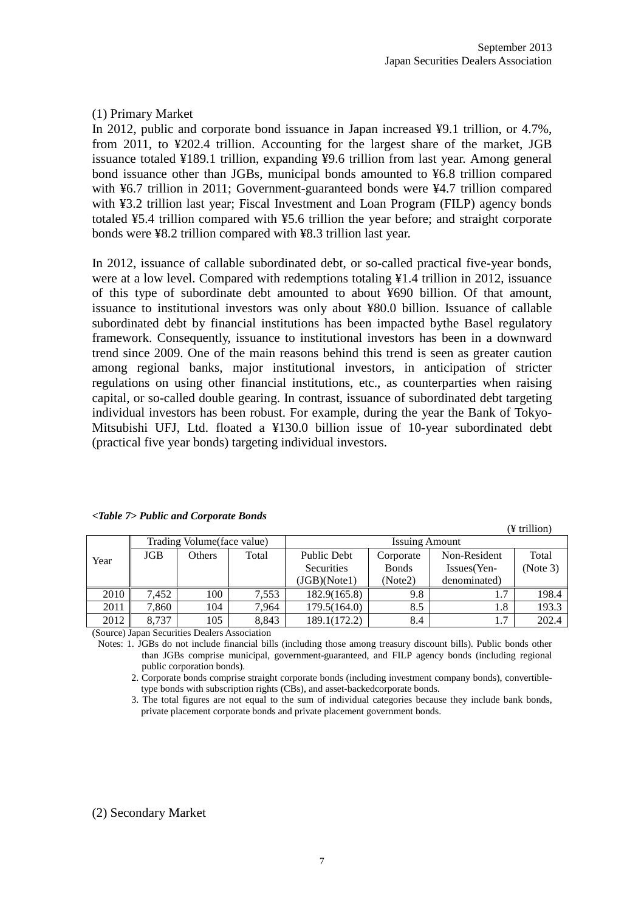$(Y$  trillion)

#### (1) Primary Market

In 2012, public and corporate bond issuance in Japan increased ¥9.1 trillion, or 4.7%, from 2011, to ¥202.4 trillion. Accounting for the largest share of the market, JGB issuance totaled ¥189.1 trillion, expanding ¥9.6 trillion from last year. Among general bond issuance other than JGBs, municipal bonds amounted to ¥6.8 trillion compared with ¥6.7 trillion in 2011; Government-guaranteed bonds were ¥4.7 trillion compared with ¥3.2 trillion last year; Fiscal Investment and Loan Program (FILP) agency bonds totaled ¥5.4 trillion compared with ¥5.6 trillion the year before; and straight corporate bonds were ¥8.2 trillion compared with ¥8.3 trillion last year.

In 2012, issuance of callable subordinated debt, or so-called practical five-year bonds, were at a low level. Compared with redemptions totaling ¥1.4 trillion in 2012, issuance of this type of subordinate debt amounted to about ¥690 billion. Of that amount, issuance to institutional investors was only about ¥80.0 billion. Issuance of callable subordinated debt by financial institutions has been impacted bythe Basel regulatory framework. Consequently, issuance to institutional investors has been in a downward trend since 2009. One of the main reasons behind this trend is seen as greater caution among regional banks, major institutional investors, in anticipation of stricter regulations on using other financial institutions, etc., as counterparties when raising capital, or so-called double gearing. In contrast, issuance of subordinated debt targeting individual investors has been robust. For example, during the year the Bank of Tokyo-Mitsubishi UFJ, Ltd. floated a ¥130.0 billion issue of 10-year subordinated debt (practical five year bonds) targeting individual investors.

|      |            |                             |       |                   |                       |              | $\tau$ umww |
|------|------------|-----------------------------|-------|-------------------|-----------------------|--------------|-------------|
|      |            | Trading Volume (face value) |       |                   | <b>Issuing Amount</b> |              |             |
| Year | <b>JGB</b> | Total<br>Others             |       | Public Debt       | Corporate             | Non-Resident | Total       |
|      |            |                             |       | <b>Securities</b> | <b>B</b> onds         | Issues(Yen-  | (Note 3)    |
|      |            |                             |       | (JGB)(Note1)      | (Note2)               | denominated) |             |
| 2010 | 7.452      | 100                         | 7,553 | 182.9(165.8)      | 9.8                   | 1.7          | 198.4       |
| 2011 | 7.860      | 104                         | 7,964 | 179.5(164.0)      | 8.5                   | 1.8          | 193.3       |
| 2012 | 8.737      | 105                         | 8,843 | 189.1(172.2)      | 8.4                   | 1.7          | 202.4       |

*<Table 7> Public and Corporate Bonds*

(Source) Japan Securities Dealers Association

Notes: 1. JGBs do not include financial bills (including those among treasury discount bills). Public bonds other than JGBs comprise municipal, government-guaranteed, and FILP agency bonds (including regional public corporation bonds).

2. Corporate bonds comprise straight corporate bonds (including investment company bonds), convertibletype bonds with subscription rights (CBs), and asset-backedcorporate bonds.

3. The total figures are not equal to the sum of individual categories because they include bank bonds, private placement corporate bonds and private placement government bonds.

#### (2) Secondary Market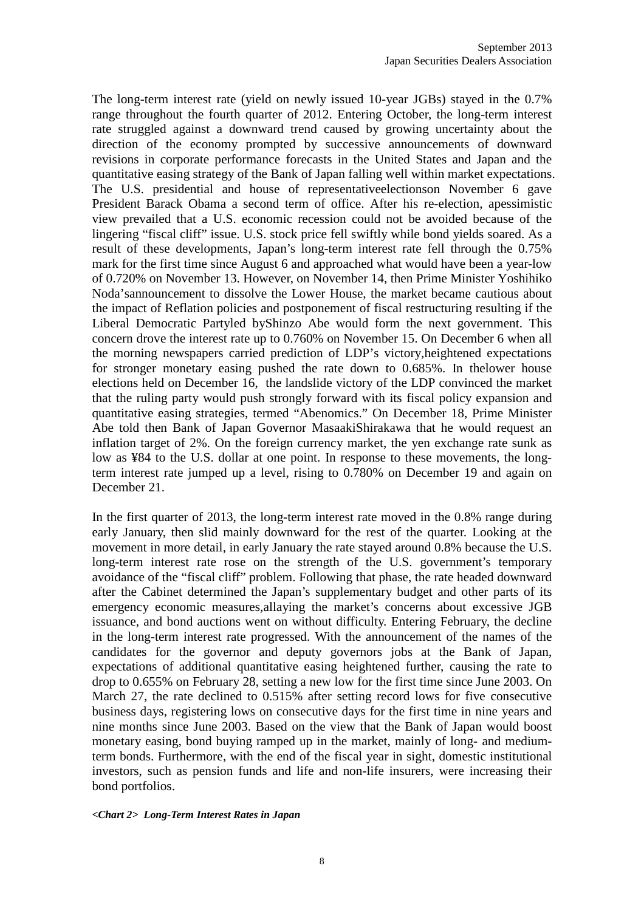The long-term interest rate (yield on newly issued 10-year JGBs) stayed in the 0.7% range throughout the fourth quarter of 2012. Entering October, the long-term interest rate struggled against a downward trend caused by growing uncertainty about the direction of the economy prompted by successive announcements of downward revisions in corporate performance forecasts in the United States and Japan and the quantitative easing strategy of the Bank of Japan falling well within market expectations. The U.S. presidential and house of representativeelectionson November 6 gave President Barack Obama a second term of office. After his re-election, apessimistic view prevailed that a U.S. economic recession could not be avoided because of the lingering "fiscal cliff" issue. U.S. stock price fell swiftly while bond yields soared. As a result of these developments, Japan's long-term interest rate fell through the 0.75% mark for the first time since August 6 and approached what would have been a year-low of 0.720% on November 13. However, on November 14, then Prime Minister Yoshihiko Noda'sannouncement to dissolve the Lower House, the market became cautious about the impact of Reflation policies and postponement of fiscal restructuring resulting if the Liberal Democratic Partyled byShinzo Abe would form the next government. This concern drove the interest rate up to 0.760% on November 15. On December 6 when all the morning newspapers carried prediction of LDP's victory,heightened expectations for stronger monetary easing pushed the rate down to 0.685%. In thelower house elections held on December 16, the landslide victory of the LDP convinced the market that the ruling party would push strongly forward with its fiscal policy expansion and quantitative easing strategies, termed "Abenomics." On December 18, Prime Minister Abe told then Bank of Japan Governor MasaakiShirakawa that he would request an inflation target of 2%. On the foreign currency market, the yen exchange rate sunk as low as ¥84 to the U.S. dollar at one point. In response to these movements, the longterm interest rate jumped up a level, rising to 0.780% on December 19 and again on December 21.

In the first quarter of 2013, the long-term interest rate moved in the 0.8% range during early January, then slid mainly downward for the rest of the quarter. Looking at the movement in more detail, in early January the rate stayed around 0.8% because the U.S. long-term interest rate rose on the strength of the U.S. government's temporary avoidance of the "fiscal cliff" problem. Following that phase, the rate headed downward after the Cabinet determined the Japan's supplementary budget and other parts of its emergency economic measures,allaying the market's concerns about excessive JGB issuance, and bond auctions went on without difficulty. Entering February, the decline in the long-term interest rate progressed. With the announcement of the names of the candidates for the governor and deputy governors jobs at the Bank of Japan, expectations of additional quantitative easing heightened further, causing the rate to drop to 0.655% on February 28, setting a new low for the first time since June 2003. On March 27, the rate declined to 0.515% after setting record lows for five consecutive business days, registering lows on consecutive days for the first time in nine years and nine months since June 2003. Based on the view that the Bank of Japan would boost monetary easing, bond buying ramped up in the market, mainly of long- and mediumterm bonds. Furthermore, with the end of the fiscal year in sight, domestic institutional investors, such as pension funds and life and non-life insurers, were increasing their bond portfolios.

#### *<Chart 2> Long-Term Interest Rates in Japan*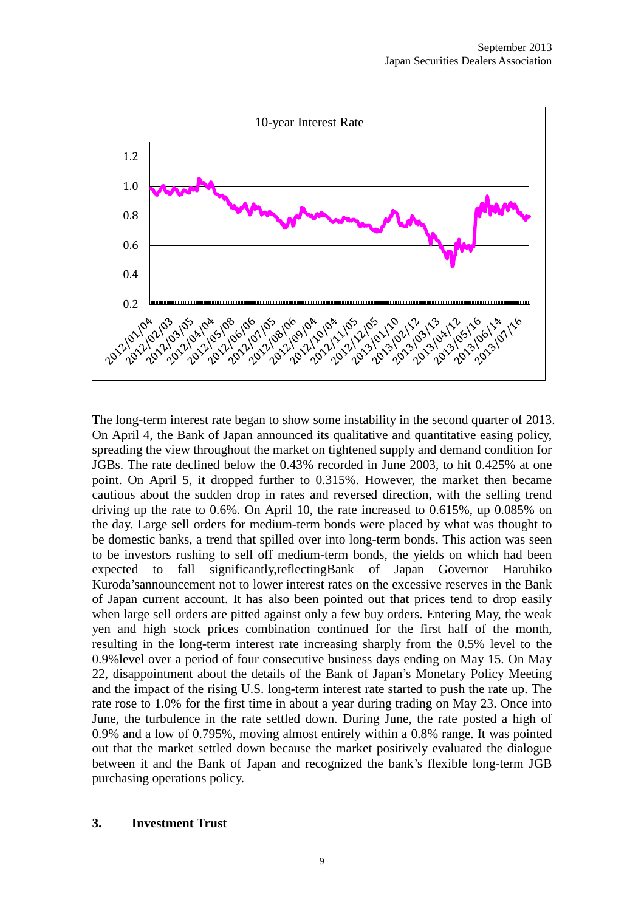

The long-term interest rate began to show some instability in the second quarter of 2013. On April 4, the Bank of Japan announced its qualitative and quantitative easing policy, spreading the view throughout the market on tightened supply and demand condition for JGBs. The rate declined below the 0.43% recorded in June 2003, to hit 0.425% at one point. On April 5, it dropped further to 0.315%. However, the market then became cautious about the sudden drop in rates and reversed direction, with the selling trend driving up the rate to 0.6%. On April 10, the rate increased to 0.615%, up 0.085% on the day. Large sell orders for medium-term bonds were placed by what was thought to be domestic banks, a trend that spilled over into long-term bonds. This action was seen to be investors rushing to sell off medium-term bonds, the yields on which had been expected to fall significantly,reflectingBank of Japan Governor Haruhiko Kuroda'sannouncement not to lower interest rates on the excessive reserves in the Bank of Japan current account. It has also been pointed out that prices tend to drop easily when large sell orders are pitted against only a few buy orders. Entering May, the weak yen and high stock prices combination continued for the first half of the month, resulting in the long-term interest rate increasing sharply from the 0.5% level to the 0.9%level over a period of four consecutive business days ending on May 15. On May 22, disappointment about the details of the Bank of Japan's Monetary Policy Meeting and the impact of the rising U.S. long-term interest rate started to push the rate up. The rate rose to 1.0% for the first time in about a year during trading on May 23. Once into June, the turbulence in the rate settled down. During June, the rate posted a high of 0.9% and a low of 0.795%, moving almost entirely within a 0.8% range. It was pointed out that the market settled down because the market positively evaluated the dialogue between it and the Bank of Japan and recognized the bank's flexible long-term JGB purchasing operations policy.

#### **3. Investment Trust**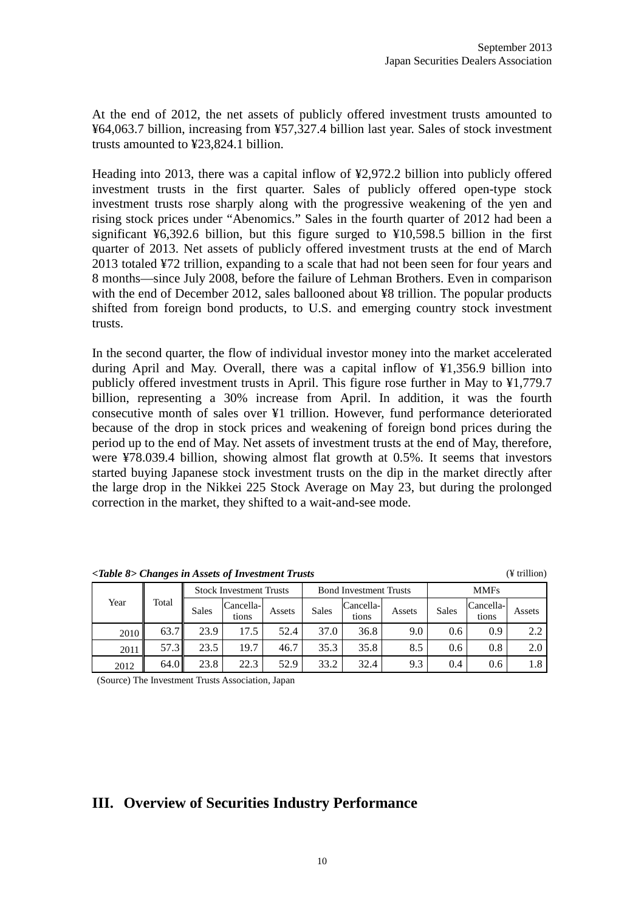At the end of 2012, the net assets of publicly offered investment trusts amounted to ¥64,063.7 billion, increasing from ¥57,327.4 billion last year. Sales of stock investment trusts amounted to ¥23,824.1 billion.

Heading into 2013, there was a capital inflow of ¥2,972.2 billion into publicly offered investment trusts in the first quarter. Sales of publicly offered open-type stock investment trusts rose sharply along with the progressive weakening of the yen and rising stock prices under "Abenomics." Sales in the fourth quarter of 2012 had been a significant ¥6,392.6 billion, but this figure surged to ¥10,598.5 billion in the first quarter of 2013. Net assets of publicly offered investment trusts at the end of March 2013 totaled ¥72 trillion, expanding to a scale that had not been seen for four years and 8 months—since July 2008, before the failure of Lehman Brothers. Even in comparison with the end of December 2012, sales ballooned about ¥8 trillion. The popular products shifted from foreign bond products, to U.S. and emerging country stock investment trusts.

In the second quarter, the flow of individual investor money into the market accelerated during April and May. Overall, there was a capital inflow of ¥1,356.9 billion into publicly offered investment trusts in April. This figure rose further in May to ¥1,779.7 billion, representing a 30% increase from April. In addition, it was the fourth consecutive month of sales over ¥1 trillion. However, fund performance deteriorated because of the drop in stock prices and weakening of foreign bond prices during the period up to the end of May. Net assets of investment trusts at the end of May, therefore, were ¥78.039.4 billion, showing almost flat growth at 0.5%. It seems that investors started buying Japanese stock investment trusts on the dip in the market directly after the large drop in the Nikkei 225 Stock Average on May 23, but during the prolonged correction in the market, they shifted to a wait-and-see mode.

| <table 8=""> Changes in Assets of Investment Trusts</table> | (¥ trillion) |
|-------------------------------------------------------------|--------------|
|-------------------------------------------------------------|--------------|

|      |       | <b>Stock Investment Trusts</b> |                    |        |              | <b>Bond Investment Trusts</b> |        | <b>MMFs</b>  |                    |        |  |
|------|-------|--------------------------------|--------------------|--------|--------------|-------------------------------|--------|--------------|--------------------|--------|--|
| Year | Total | Sales                          | Cancella-<br>tions | Assets | <b>Sales</b> | Cancella-<br>tions            | Assets | <b>Sales</b> | Cancella-<br>tions | Assets |  |
| 2010 | 63.7  | 23.9                           | 17.5               | 52.4   | 37.0         | 36.8                          | 9.0    | 0.6          | 0.9                | 2.2    |  |
| 2011 | 57.3  | 23.5                           | 19.7               | 46.7   | 35.3         | 35.8                          | 8.5    | 0.6          | 0.8                | 2.0    |  |
| 2012 | 64.0  | 23.8                           | 22.3               | 52.9   | 33.2         | 32.4                          | 9.3    | 0.4          | 0.6                | 1.8    |  |

(Source) The Investment Trusts Association, Japan

#### **III. Overview of Securities Industry Performance**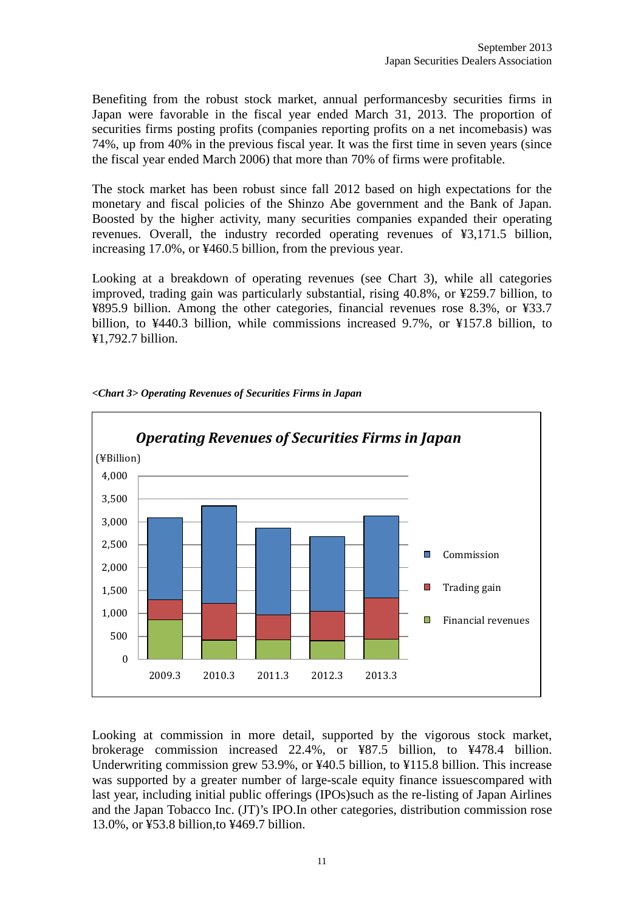Benefiting from the robust stock market, annual performancesby securities firms in Japan were favorable in the fiscal year ended March 31, 2013. The proportion of securities firms posting profits (companies reporting profits on a net incomebasis) was 74%, up from 40% in the previous fiscal year. It was the first time in seven years (since the fiscal year ended March 2006) that more than 70% of firms were profitable.

The stock market has been robust since fall 2012 based on high expectations for the monetary and fiscal policies of the Shinzo Abe government and the Bank of Japan. Boosted by the higher activity, many securities companies expanded their operating revenues. Overall, the industry recorded operating revenues of ¥3,171.5 billion, increasing 17.0%, or ¥460.5 billion, from the previous year.

Looking at a breakdown of operating revenues (see Chart 3), while all categories improved, trading gain was particularly substantial, rising 40.8%, or ¥259.7 billion, to ¥895.9 billion. Among the other categories, financial revenues rose 8.3%, or ¥33.7 billion, to ¥440.3 billion, while commissions increased 9.7%, or ¥157.8 billion, to ¥1,792.7 billion.



*<Chart 3> Operating Revenues of Securities Firms in Japan*

Looking at commission in more detail, supported by the vigorous stock market, brokerage commission increased 22.4%, or ¥87.5 billion, to ¥478.4 billion. Underwriting commission grew 53.9%, or ¥40.5 billion, to ¥115.8 billion. This increase was supported by a greater number of large-scale equity finance issuescompared with last year, including initial public offerings (IPOs)such as the re-listing of Japan Airlines and the Japan Tobacco Inc. (JT)'s IPO.In other categories, distribution commission rose 13.0%, or ¥53.8 billion,to ¥469.7 billion.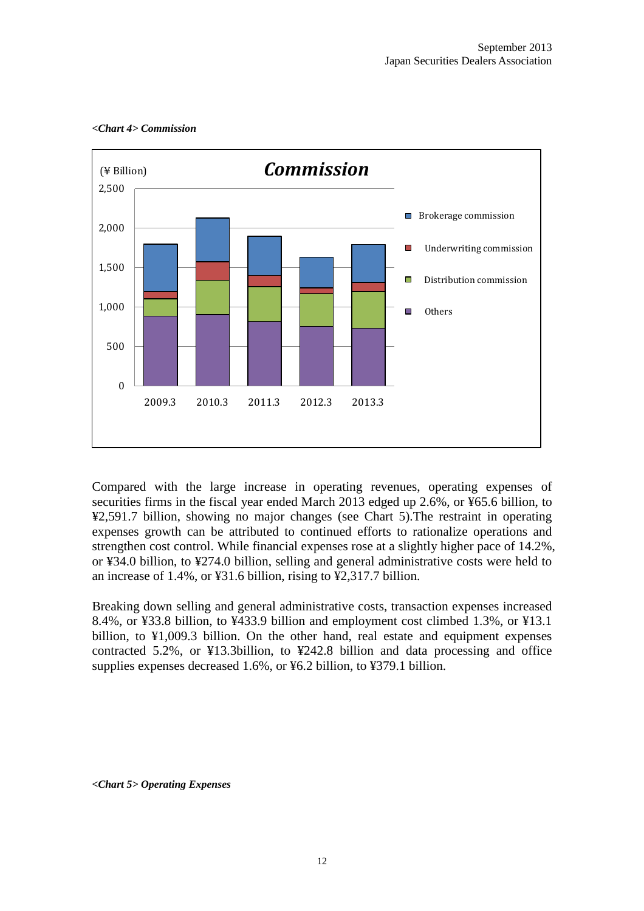

#### *<Chart 4> Commission*

Compared with the large increase in operating revenues, operating expenses of securities firms in the fiscal year ended March 2013 edged up 2.6%, or ¥65.6 billion, to ¥2,591.7 billion, showing no major changes (see Chart 5).The restraint in operating expenses growth can be attributed to continued efforts to rationalize operations and strengthen cost control. While financial expenses rose at a slightly higher pace of 14.2%, or ¥34.0 billion, to ¥274.0 billion, selling and general administrative costs were held to an increase of 1.4%, or ¥31.6 billion, rising to ¥2,317.7 billion.

Breaking down selling and general administrative costs, transaction expenses increased 8.4%, or ¥33.8 billion, to ¥433.9 billion and employment cost climbed 1.3%, or ¥13.1 billion, to ¥1,009.3 billion. On the other hand, real estate and equipment expenses contracted 5.2%, or ¥13.3billion, to ¥242.8 billion and data processing and office supplies expenses decreased 1.6%, or ¥6.2 billion, to ¥379.1 billion.

*<Chart 5> Operating Expenses*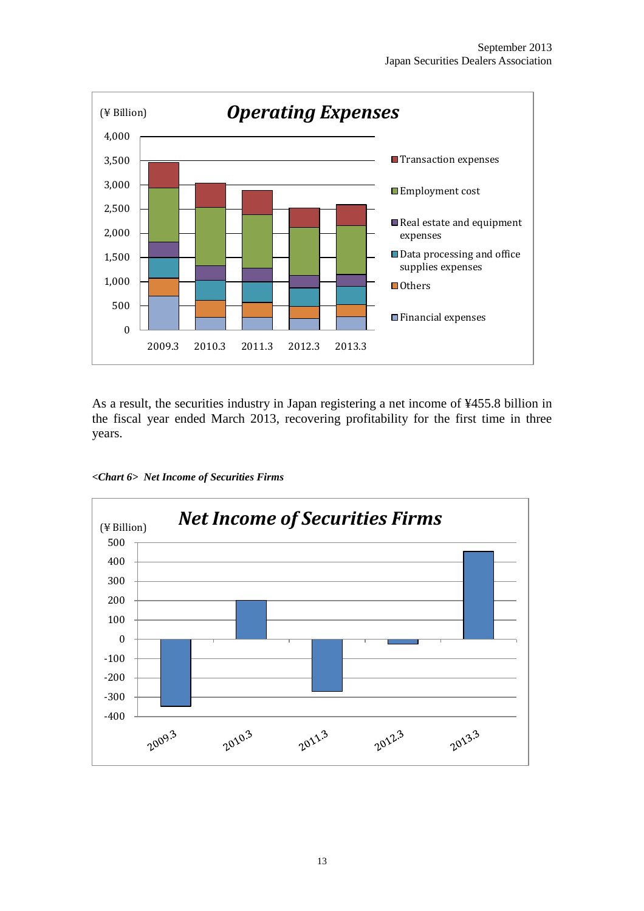

As a result, the securities industry in Japan registering a net income of ¥455.8 billion in the fiscal year ended March 2013, recovering profitability for the first time in three years.

*<Chart 6> Net Income of Securities Firms*

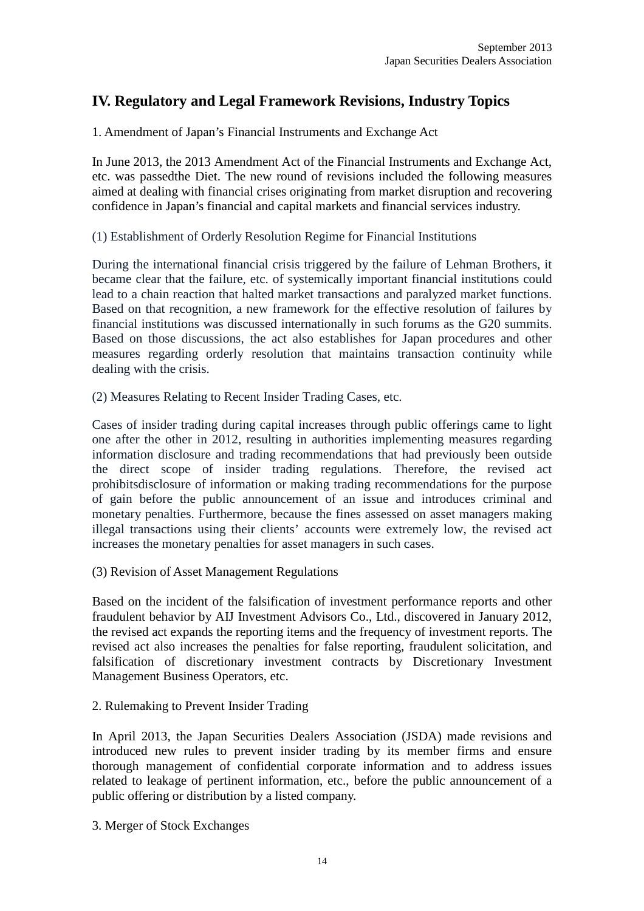## **IV. Regulatory and Legal Framework Revisions, Industry Topics**

1. Amendment of Japan's Financial Instruments and Exchange Act

In June 2013, the 2013 Amendment Act of the Financial Instruments and Exchange Act, etc. was passedthe Diet. The new round of revisions included the following measures aimed at dealing with financial crises originating from market disruption and recovering confidence in Japan's financial and capital markets and financial services industry.

(1) Establishment of Orderly Resolution Regime for Financial Institutions

During the international financial crisis triggered by the failure of Lehman Brothers, it became clear that the failure, etc. of systemically important financial institutions could lead to a chain reaction that halted market transactions and paralyzed market functions. Based on that recognition, a new framework for the effective resolution of failures by financial institutions was discussed internationally in such forums as the G20 summits. Based on those discussions, the act also establishes for Japan procedures and other measures regarding orderly resolution that maintains transaction continuity while dealing with the crisis.

(2) Measures Relating to Recent Insider Trading Cases, etc.

Cases of insider trading during capital increases through public offerings came to light one after the other in 2012, resulting in authorities implementing measures regarding information disclosure and trading recommendations that had previously been outside the direct scope of insider trading regulations. Therefore, the revised act prohibitsdisclosure of information or making trading recommendations for the purpose of gain before the public announcement of an issue and introduces criminal and monetary penalties. Furthermore, because the fines assessed on asset managers making illegal transactions using their clients' accounts were extremely low, the revised act increases the monetary penalties for asset managers in such cases.

(3) Revision of Asset Management Regulations

Based on the incident of the falsification of investment performance reports and other fraudulent behavior by AIJ Investment Advisors Co., Ltd., discovered in January 2012, the revised act expands the reporting items and the frequency of investment reports. The revised act also increases the penalties for false reporting, fraudulent solicitation, and falsification of discretionary investment contracts by Discretionary Investment Management Business Operators, etc.

2. Rulemaking to Prevent Insider Trading

In April 2013, the Japan Securities Dealers Association (JSDA) made revisions and introduced new rules to prevent insider trading by its member firms and ensure thorough management of confidential corporate information and to address issues related to leakage of pertinent information, etc., before the public announcement of a public offering or distribution by a listed company.

3. Merger of Stock Exchanges